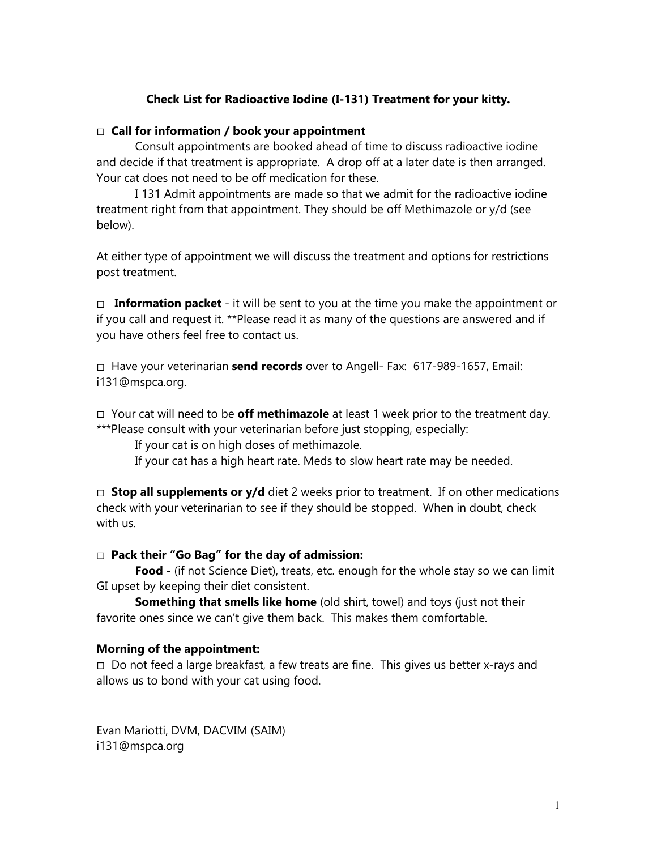# **Check List for Radioactive Iodine (I-131) Treatment for your kitty.**

### **Call for information / book your appointment**

Consult appointments are booked ahead of time to discuss radioactive iodine and decide if that treatment is appropriate. A drop off at a later date is then arranged. Your cat does not need to be off medication for these.

I 131 Admit appointments are made so that we admit for the radioactive iodine treatment right from that appointment. They should be off Methimazole or y/d (see below).

At either type of appointment we will discuss the treatment and options for restrictions post treatment.

□ **Information packet** - it will be sent to you at the time you make the appointment or if you call and request it. \*\*Please read it as many of the questions are answered and if you have others feel free to contact us.

Have your veterinarian **send records** over to Angell- Fax: 617-989-1657, Email: i131@mspca.org.

Your cat will need to be **off methimazole** at least 1 week prior to the treatment day. \*\*\*Please consult with your veterinarian before just stopping, especially:

If your cat is on high doses of methimazole.

If your cat has a high heart rate. Meds to slow heart rate may be needed.

□ **Stop all supplements or y/d** diet 2 weeks prior to treatment. If on other medications check with your veterinarian to see if they should be stopped. When in doubt, check with us.

### **Pack their "Go Bag" for the day of admission:**

Food - (if not Science Diet), treats, etc. enough for the whole stay so we can limit GI upset by keeping their diet consistent.

**Something that smells like home** (old shirt, towel) and toys (just not their favorite ones since we can't give them back. This makes them comfortable.

### **Morning of the appointment:**

Do not feed a large breakfast, a few treats are fine. This gives us better x-rays and allows us to bond with your cat using food.

Evan Mariotti, DVM, DACVIM (SAIM) [i131@mspca.org](mailto:i131@mspca.org)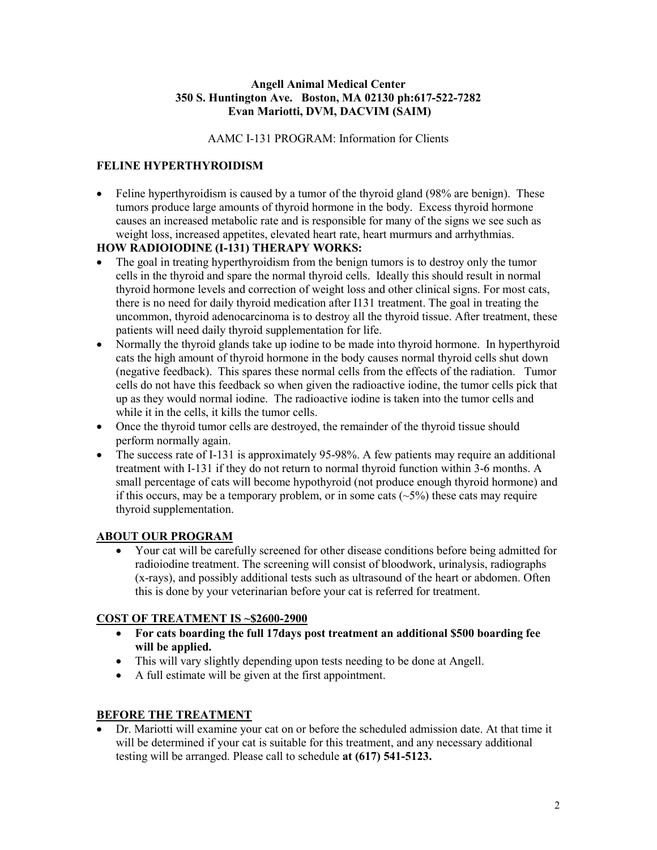#### **Angell Animal Medical Center 350 S. Huntington Ave. Boston, MA 02130 ph:617-522-7282 Evan Mariotti, DVM, DACVIM (SAIM)**

AAMC I-131 PROGRAM: Information for Clients

## **FELINE HYPERTHYROIDISM**

• Feline hyperthyroidism is caused by a tumor of the thyroid gland (98% are benign). These tumors produce large amounts of thyroid hormone in the body. Excess thyroid hormone causes an increased metabolic rate and is responsible for many of the signs we see such as weight loss, increased appetites, elevated heart rate, heart murmurs and arrhythmias.

# **HOW RADIOIODINE (I-131) THERAPY WORKS:**

- The goal in treating hyperthyroidism from the benign tumors is to destroy only the tumor cells in the thyroid and spare the normal thyroid cells. Ideally this should result in normal thyroid hormone levels and correction of weight loss and other clinical signs. For most cats, there is no need for daily thyroid medication after I131 treatment. The goal in treating the uncommon, thyroid adenocarcinoma is to destroy all the thyroid tissue. After treatment, these patients will need daily thyroid supplementation for life.
- Normally the thyroid glands take up iodine to be made into thyroid hormone. In hyperthyroid cats the high amount of thyroid hormone in the body causes normal thyroid cells shut down (negative feedback). This spares these normal cells from the effects of the radiation. Tumor cells do not have this feedback so when given the radioactive iodine, the tumor cells pick that up as they would normal iodine. The radioactive iodine is taken into the tumor cells and while it in the cells, it kills the tumor cells.
- Once the thyroid tumor cells are destroyed, the remainder of the thyroid tissue should perform normally again.
- The success rate of I-131 is approximately 95-98%. A few patients may require an additional treatment with I-131 if they do not return to normal thyroid function within 3-6 months. A small percentage of cats will become hypothyroid (not produce enough thyroid hormone) and if this occurs, may be a temporary problem, or in some cats  $(\sim 5\%)$  these cats may require thyroid supplementation.

### **ABOUT OUR PROGRAM**

• Your cat will be carefully screened for other disease conditions before being admitted for radioiodine treatment. The screening will consist of bloodwork, urinalysis, radiographs (x-rays), and possibly additional tests such as ultrasound of the heart or abdomen. Often this is done by your veterinarian before your cat is referred for treatment.

### **COST OF TREATMENT IS ~\$2600-2900**

- **For cats boarding the full 17days post treatment an additional \$500 boarding fee will be applied.**
- This will vary slightly depending upon tests needing to be done at Angell.
- A full estimate will be given at the first appointment.

### **BEFORE THE TREATMENT**

• Dr. Mariotti will examine your cat on or before the scheduled admission date. At that time it will be determined if your cat is suitable for this treatment, and any necessary additional testing will be arranged. Please call to schedule **at (617) 541-5123.**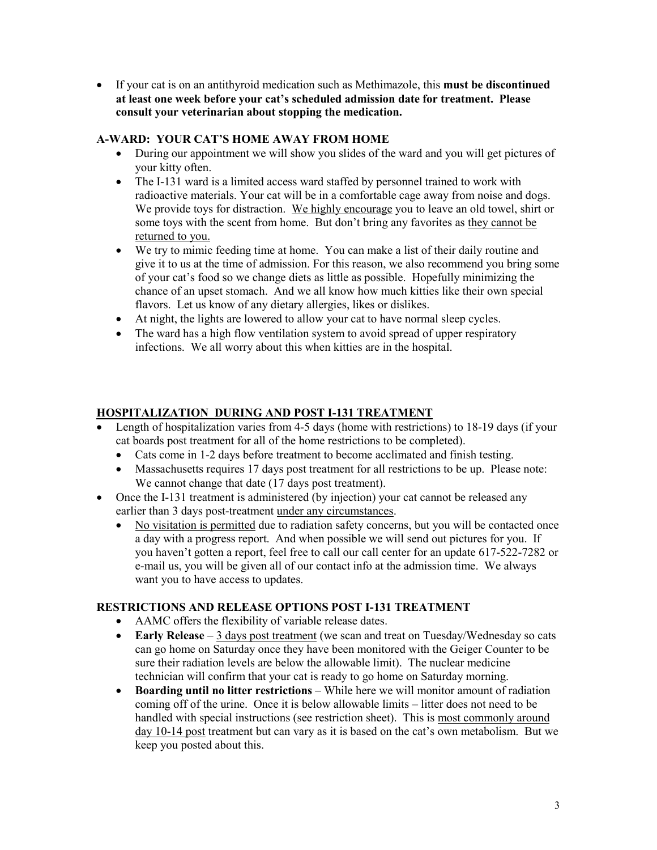• If your cat is on an antithyroid medication such as Methimazole, this **must be discontinued at least one week before your cat's scheduled admission date for treatment. Please consult your veterinarian about stopping the medication.**

#### **A-WARD: YOUR CAT'S HOME AWAY FROM HOME**

- During our appointment we will show you slides of the ward and you will get pictures of your kitty often.
- The I-131 ward is a limited access ward staffed by personnel trained to work with radioactive materials. Your cat will be in a comfortable cage away from noise and dogs. We provide toys for distraction. We highly encourage you to leave an old towel, shirt or some toys with the scent from home. But don't bring any favorites as they cannot be returned to you.
- We try to mimic feeding time at home. You can make a list of their daily routine and give it to us at the time of admission. For this reason, we also recommend you bring some of your cat's food so we change diets as little as possible. Hopefully minimizing the chance of an upset stomach. And we all know how much kitties like their own special flavors. Let us know of any dietary allergies, likes or dislikes.
- At night, the lights are lowered to allow your cat to have normal sleep cycles.
- The ward has a high flow ventilation system to avoid spread of upper respiratory infections. We all worry about this when kitties are in the hospital.

### **HOSPITALIZATION DURING AND POST I-131 TREATMENT**

- Length of hospitalization varies from 4-5 days (home with restrictions) to 18-19 days (if your cat boards post treatment for all of the home restrictions to be completed).
	- Cats come in 1-2 days before treatment to become acclimated and finish testing.
	- Massachusetts requires 17 days post treatment for all restrictions to be up. Please note: We cannot change that date (17 days post treatment).
- Once the I-131 treatment is administered (by injection) your cat cannot be released any earlier than 3 days post-treatment under any circumstances.
	- No visitation is permitted due to radiation safety concerns, but you will be contacted once a day with a progress report. And when possible we will send out pictures for you. If you haven't gotten a report, feel free to call our call center for an update 617-522-7282 or e-mail us, you will be given all of our contact info at the admission time. We always want you to have access to updates.

### **RESTRICTIONS AND RELEASE OPTIONS POST I-131 TREATMENT**

- AAMC offers the flexibility of variable release dates.
- **Early Release** 3 days post treatment (we scan and treat on Tuesday/Wednesday so cats can go home on Saturday once they have been monitored with the Geiger Counter to be sure their radiation levels are below the allowable limit). The nuclear medicine technician will confirm that your cat is ready to go home on Saturday morning.
- **Boarding until no litter restrictions** While here we will monitor amount of radiation coming off of the urine. Once it is below allowable limits – litter does not need to be handled with special instructions (see restriction sheet). This is most commonly around day 10-14 post treatment but can vary as it is based on the cat's own metabolism. But we keep you posted about this.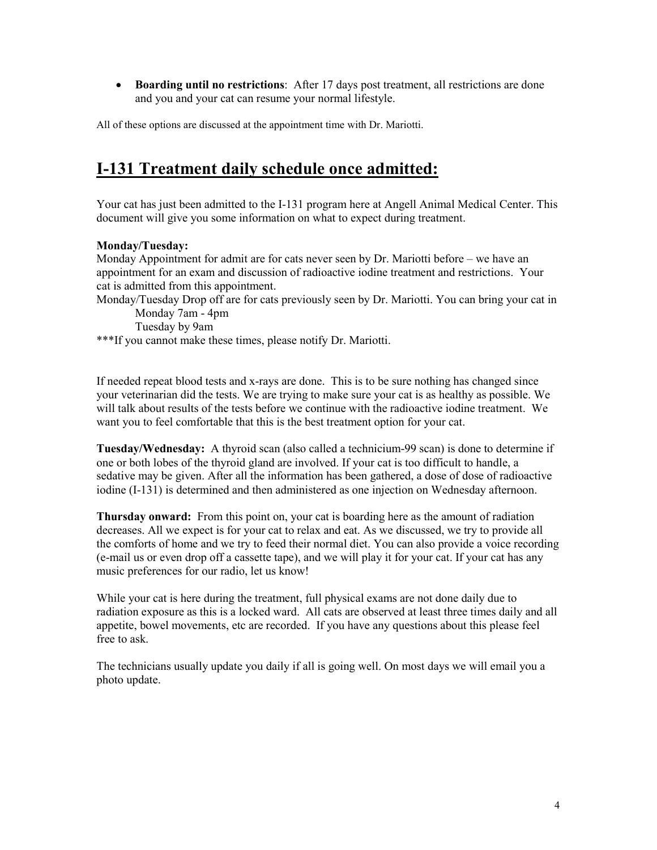• **Boarding until no restrictions**: After 17 days post treatment, all restrictions are done and you and your cat can resume your normal lifestyle.

All of these options are discussed at the appointment time with Dr. Mariotti.

# **I-131 Treatment daily schedule once admitted:**

Your cat has just been admitted to the I-131 program here at Angell Animal Medical Center. This document will give you some information on what to expect during treatment.

#### **Monday/Tuesday:**

Monday Appointment for admit are for cats never seen by Dr. Mariotti before – we have an appointment for an exam and discussion of radioactive iodine treatment and restrictions. Your cat is admitted from this appointment.

Monday/Tuesday Drop off are for cats previously seen by Dr. Mariotti. You can bring your cat in Monday 7am - 4pm

Tuesday by 9am

\*\*\*If you cannot make these times, please notify Dr. Mariotti.

If needed repeat blood tests and x-rays are done. This is to be sure nothing has changed since your veterinarian did the tests. We are trying to make sure your cat is as healthy as possible. We will talk about results of the tests before we continue with the radioactive iodine treatment. We want you to feel comfortable that this is the best treatment option for your cat.

**Tuesday/Wednesday:** A thyroid scan (also called a technicium-99 scan) is done to determine if one or both lobes of the thyroid gland are involved. If your cat is too difficult to handle, a sedative may be given. After all the information has been gathered, a dose of dose of radioactive iodine (I-131) is determined and then administered as one injection on Wednesday afternoon.

**Thursday onward:** From this point on, your cat is boarding here as the amount of radiation decreases. All we expect is for your cat to relax and eat. As we discussed, we try to provide all the comforts of home and we try to feed their normal diet. You can also provide a voice recording (e-mail us or even drop off a cassette tape), and we will play it for your cat. If your cat has any music preferences for our radio, let us know!

While your cat is here during the treatment, full physical exams are not done daily due to radiation exposure as this is a locked ward. All cats are observed at least three times daily and all appetite, bowel movements, etc are recorded. If you have any questions about this please feel free to ask.

The technicians usually update you daily if all is going well. On most days we will email you a photo update.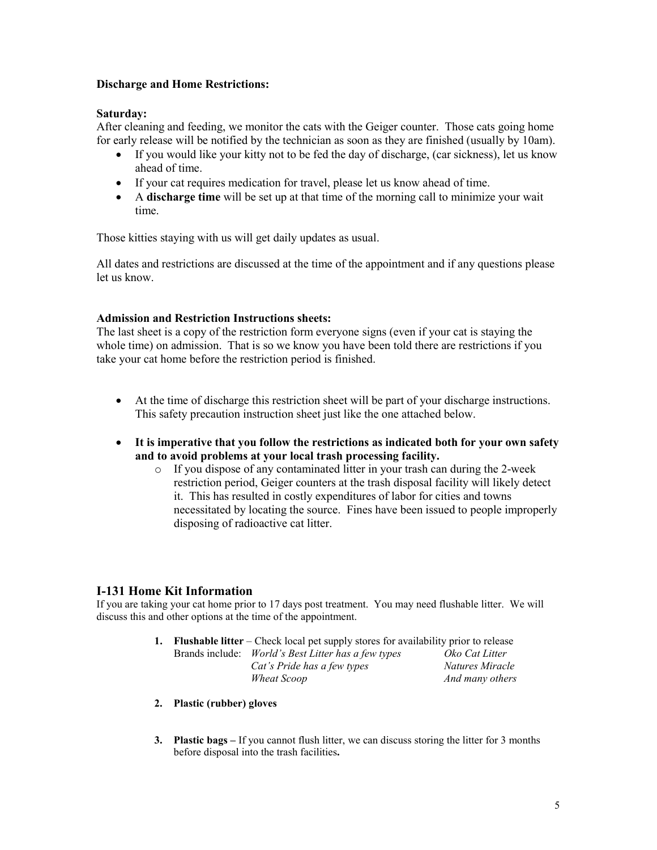#### **Discharge and Home Restrictions:**

#### **Saturday:**

After cleaning and feeding, we monitor the cats with the Geiger counter. Those cats going home for early release will be notified by the technician as soon as they are finished (usually by 10am).

- If you would like your kitty not to be fed the day of discharge, (car sickness), let us know ahead of time.
- If your cat requires medication for travel, please let us know ahead of time.
- A **discharge time** will be set up at that time of the morning call to minimize your wait time.

Those kitties staying with us will get daily updates as usual.

All dates and restrictions are discussed at the time of the appointment and if any questions please let us know.

#### **Admission and Restriction Instructions sheets:**

The last sheet is a copy of the restriction form everyone signs (even if your cat is staying the whole time) on admission. That is so we know you have been told there are restrictions if you take your cat home before the restriction period is finished.

- At the time of discharge this restriction sheet will be part of your discharge instructions. This safety precaution instruction sheet just like the one attached below.
- **It is imperative that you follow the restrictions as indicated both for your own safety and to avoid problems at your local trash processing facility.** 
	- o If you dispose of any contaminated litter in your trash can during the 2-week restriction period, Geiger counters at the trash disposal facility will likely detect it. This has resulted in costly expenditures of labor for cities and towns necessitated by locating the source. Fines have been issued to people improperly disposing of radioactive cat litter.

### **I-131 Home Kit Information**

If you are taking your cat home prior to 17 days post treatment. You may need flushable litter. We will discuss this and other options at the time of the appointment.

- **1. Flushable litter** Check local pet supply stores for availability prior to release Brands include: *World's Best Litter has a few types Oko Cat Litter Cat's Pride has a few types Natures Miracle Wheat Scoop And many others*
- **2. Plastic (rubber) gloves**
- **3. Plastic bags –** If you cannot flush litter, we can discuss storing the litter for 3 months before disposal into the trash facilities**.**